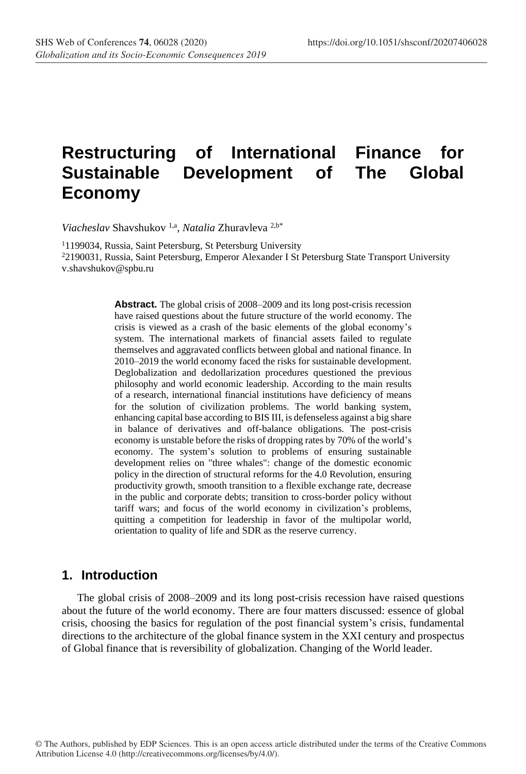# **Restructuring of International Finance for Sustainable Development of The Global Economy**

*Viacheslav* Shavshukov 1,a *, Natalia* Zhuravleva 2,b\*

<sup>1</sup>1199034, Russia, Saint Petersburg, St Petersburg University <sup>2</sup>2190031, Russia, Saint Petersburg, Emperor Alexander I St Petersburg State Transport University v.shavshukov@spbu.ru

> **Abstract.** The global crisis of 2008–2009 and its long post-crisis recession have raised questions about the future structure of the world economy. The crisis is viewed as a crash of the basic elements of the global economy's system. The international markets of financial assets failed to regulate themselves and aggravated conflicts between global and national finance. In 2010–2019 the world economy faced the risks for sustainable development. Deglobalization and dedollarization procedures questioned the previous philosophy and world economic leadership. According to the main results of a research, international financial institutions have deficiency of means for the solution of civilization problems. The world banking system, enhancing capital base according to BIS III, is defenseless against a big share in balance of derivatives and off-balance obligations. The post-crisis economy is unstable before the risks of dropping rates by 70% of the world's economy. The system's solution to problems of ensuring sustainable development relies on "three whales": change of the domestic economic policy in the direction of structural reforms for the 4.0 Revolution, ensuring productivity growth, smooth transition to a flexible exchange rate, decrease in the public and corporate debts; transition to cross-border policy without tariff wars; and focus of the world economy in civilization's problems, quitting a competition for leadership in favor of the multipolar world, orientation to quality of life and SDR as the reserve currency.

#### **1. Introduction**

The global crisis of 2008–2009 and its long post-crisis recession have raised questions about the future of the world economy. There are four matters discussed: essence of global crisis, choosing the basics for regulation of the post financial system's crisis, fundamental directions to the architecture of the global finance system in the XXI century and prospectus of Global finance that is reversibility of globalization. Changing of the World leader.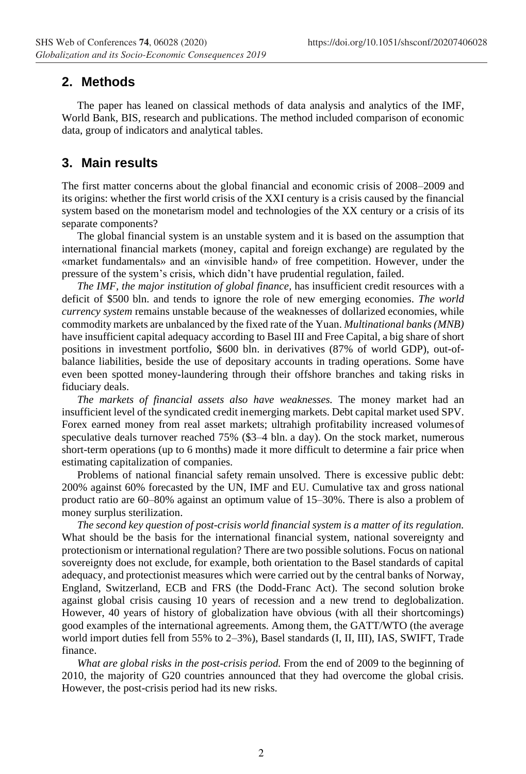### **2. Methods**

The paper has leaned on classical methods of data analysis and analytics of the IMF, World Bank, BIS, research and publications. The method included comparison of economic data, group of indicators and analytical tables.

## **3. Main results**

The first matter concerns about the global financial and economic crisis of 2008–2009 and its origins: whether the first world crisis of the XXI century is a crisis caused by the financial system based on the monetarism model and technologies of the XX century or a crisis of its separate components?

The global financial system is an unstable system and it is based on the assumption that international financial markets (money, capital and foreign exchange) are regulated by the «market fundamentals» and an «invisible hand» of free competition. However, under the pressure of the system's crisis, which didn't have prudential regulation, failed.

*The IMF, the major institution of global finance,* has insufficient credit resources with a deficit of \$500 bln. and tends to ignore the role of new emerging economies. *The world currency system* remains unstable because of the weaknesses of dollarized economies, while commodity markets are unbalanced by the fixed rate of the Yuan. *Multinational banks (MNB)* have insufficient capital adequacy according to Basel III and Free Capital, a big share of short positions in investment portfolio, \$600 bln. in derivatives (87% of world GDP), out-ofbalance liabilities, beside the use of depositary accounts in trading operations. Some have even been spotted money-laundering through their offshore branches and taking risks in fiduciary deals.

*The markets of financial assets also have weaknesses.* The money market had an insufficient level of the syndicated credit inemerging markets. Debt capital market used SPV. Forex earned money from real asset markets; ultrahigh profitability increased volumesof speculative deals turnover reached 75% (\$3–4 bln. a day). On the stock market, numerous short-term operations (up to 6 months) made it more difficult to determine a fair price when estimating capitalization of companies.

Problems of national financial safety remain unsolved. There is excessive public debt: 200% against 60% forecasted by the UN, IMF and EU. Cumulative tax and gross national product ratio are 60–80% against an optimum value of 15–30%. There is also a problem of money surplus sterilization.

*The second key question of post-crisis world financial system is a matter of its regulation.* What should be the basis for the international financial system, national sovereignty and protectionism or international regulation? There are two possible solutions. Focus on national sovereignty does not exclude, for example, both orientation to the Basel standards of capital adequacy, and protectionist measures which were carried out by the central banks of Norway, England, Switzerland, ECB and FRS (the Dodd-Franc Act). The second solution broke against global crisis causing 10 years of recession and a new trend to deglobalization. However, 40 years of history of globalization have obvious (with all their shortcomings) good examples of the international agreements. Among them, the GATT/WTO (the average world import duties fell from 55% to 2–3%), Basel standards (I, II, III), IAS, SWIFT, Trade finance.

*What are global risks in the post-crisis period.* From the end of 2009 to the beginning of 2010, the majority of G20 countries announced that they had overcome the global crisis. However, the post-crisis period had its new risks.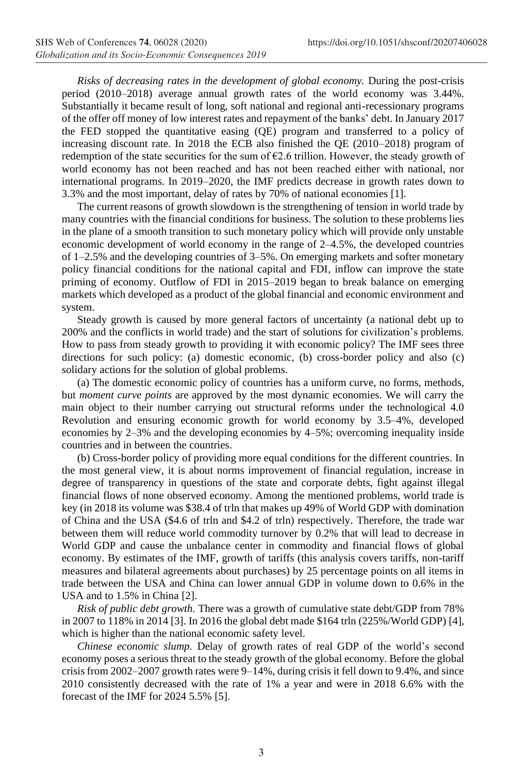*Risks of decreasing rates in the development of global economy.* During the post-crisis period (2010–2018) average annual growth rates of the world economy was 3.44%. Substantially it became result of long, soft national and regional anti-recessionary programs of the offer off money of low interest rates and repayment of the banks' debt. In January 2017 the FED stopped the quantitative easing (QE) program and transferred to a policy of increasing discount rate. In 2018 the ECB also finished the QE (2010–2018) program of redemption of the state securities for the sum of  $E2.6$  trillion. However, the steady growth of world economy has not been reached and has not been reached either with national, nor international programs. In 2019–2020, the IMF predicts decrease in growth rates down to 3.3% and the most important, delay of rates by 70% of national economies [1].

The current reasons of growth slowdown is the strengthening of tension in world trade by many countries with the financial conditions for business. The solution to these problems lies in the plane of a smooth transition to such monetary policy which will provide only unstable economic development of world economy in the range of 2–4.5%, the developed countries of 1–2.5% and the developing countries of 3–5%. On emerging markets and softer monetary policy financial conditions for the national capital and FDI, inflow can improve the state priming of economy. Outflow of FDI in 2015–2019 began to break balance on emerging markets which developed as a product of the global financial and economic environment and system.

Steady growth is caused by more general factors of uncertainty (a national debt up to 200% and the conflicts in world trade) and the start of solutions for civilization's problems. How to pass from steady growth to providing it with economic policy? The IMF sees three directions for such policy: (a) domestic economic, (b) cross-border policy and also (c) solidary actions for the solution of global problems.

(a) The domestic economic policy of countries has a uniform curve, no forms, methods, but *moment curve points* are approved by the most dynamic economies. We will carry the main object to their number carrying out structural reforms under the technological 4.0 Revolution and ensuring economic growth for world economy by 3.5–4%, developed economies by 2–3% and the developing economies by 4–5%; overcoming inequality inside countries and in between the countries.

(b) Cross-border policy of providing more equal conditions for the different countries. In the most general view, it is about norms improvement of financial regulation, increase in degree of transparency in questions of the state and corporate debts, fight against illegal financial flows of none observed economy. Among the mentioned problems, world trade is key (in 2018 its volume was \$38.4 of trln that makes up 49% of World GDP with domination of China and the USA (\$4.6 of trln and \$4.2 of trln) respectively. Therefore, the trade war between them will reduce world commodity turnover by 0.2% that will lead to decrease in World GDP and cause the unbalance center in commodity and financial flows of global economy. By estimates of the IMF, growth of tariffs (this analysis covers tariffs, non-tariff measures and bilateral agreements about purchases) by 25 percentage points on all items in trade between the USA and China can lower annual GDP in volume down to 0.6% in the USA and to 1.5% in China [2].

*Risk of public debt growth.* There was a growth of cumulative state debt/GDP from 78% in 2007 to 118% in 2014 [3]. In 2016 the global debt made \$164 trln (225%/World GDP) [4], which is higher than the national economic safety level.

*Chinese economic slump.* Delay of growth rates of real GDP of the world's second economy poses a serious threat to the steady growth of the global economy. Before the global crisis from 2002–2007 growth rates were 9–14%, during crisis it fell down to 9.4%, and since 2010 consistently decreased with the rate of 1% a year and were in 2018 6.6% with the forecast of the IMF for 2024 5.5% [5].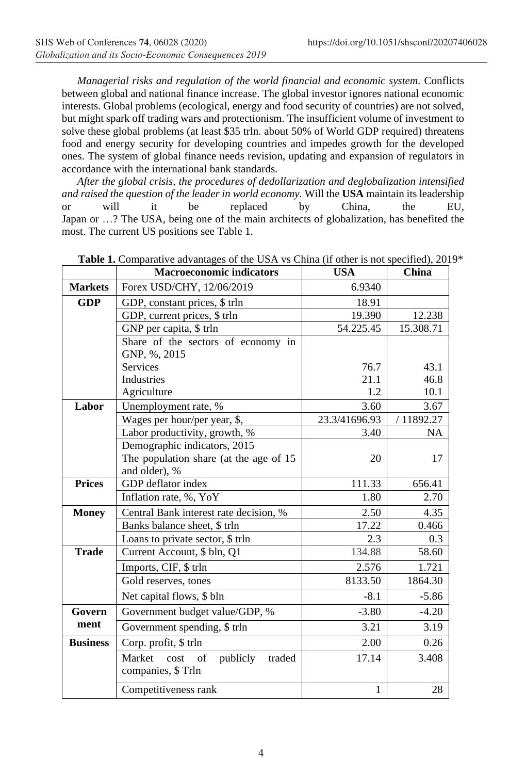*Managerial risks and regulation of the world financial and economic system.* Conflicts between global and national finance increase. The global investor ignores national economic interests. Global problems (ecological, energy and food security of countries) are not solved, but might spark off trading wars and protectionism. The insufficient volume of investment to solve these global problems (at least \$35 trln. about 50% of World GDP required) threatens food and energy security for developing countries and impedes growth for the developed ones. The system of global finance needs revision, updating and expansion of regulators in accordance with the international bank standards.

*After the global crisis, the procedures of dedollarization and deglobalization intensified and raised the question of the leader in world economy.* Will the **USA** maintain its leadership or will it be replaced by China, the EU, Japan or …? The USA, being one of the main architects of globalization, has benefited the most. The current US positions see Table 1.

|                 | <b>Macroeconomic indicators</b>                                                         | <b>USA</b>    | China     |
|-----------------|-----------------------------------------------------------------------------------------|---------------|-----------|
| <b>Markets</b>  | Forex USD/CHY, 12/06/2019                                                               | 6.9340        |           |
| <b>GDP</b>      | GDP, constant prices, \$ trln                                                           | 18.91         |           |
|                 | GDP, current prices, \$ trln                                                            | 19.390        | 12.238    |
|                 | GNP per capita, \$ trln                                                                 | 54.225.45     | 15.308.71 |
|                 | Share of the sectors of economy in<br>GNP, %, 2015                                      |               |           |
|                 | <b>Services</b>                                                                         | 76.7          | 43.1      |
|                 | Industries                                                                              | 21.1          | 46.8      |
|                 | Agriculture                                                                             | 1.2           | 10.1      |
| Labor           | Unemployment rate, %                                                                    | 3.60          | 3.67      |
|                 | Wages per hour/per year, \$,                                                            | 23.3/41696.93 | /11892.27 |
|                 | Labor productivity, growth, %                                                           | 3.40          | <b>NA</b> |
|                 | Demographic indicators, 2015<br>The population share (at the age of 15<br>and older), % | 20            | 17        |
| <b>Prices</b>   | GDP deflator index                                                                      | 111.33        | 656.41    |
|                 | Inflation rate, %, YoY                                                                  | 1.80          | 2.70      |
| <b>Money</b>    | Central Bank interest rate decision, %                                                  | 2.50          | 4.35      |
|                 | Banks balance sheet, \$ trln                                                            | 17.22         | 0.466     |
|                 | Loans to private sector, \$ trln                                                        | 2.3           | 0.3       |
| <b>Trade</b>    | Current Account, \$ bln, Q1                                                             | 134.88        | 58.60     |
|                 | Imports, CIF, \$ trln                                                                   | 2.576         | 1.721     |
|                 | Gold reserves, tones                                                                    | 8133.50       | 1864.30   |
|                 | Net capital flows, \$ bln                                                               | $-8.1$        | $-5.86$   |
| Govern          | Government budget value/GDP, %                                                          | $-3.80$       | $-4.20$   |
| ment            | Government spending, \$ trln                                                            | 3.21          | 3.19      |
| <b>Business</b> | Corp. profit, \$ trln                                                                   | 2.00          | 0.26      |
|                 | of<br>publicly<br>Market<br>cost<br>traded<br>companies, \$ Trln                        | 17.14         | 3.408     |
|                 | Competitiveness rank                                                                    | 1             | 28        |

**Table 1.** Comparative advantages of the USA vs China (if other is not specified), 2019\*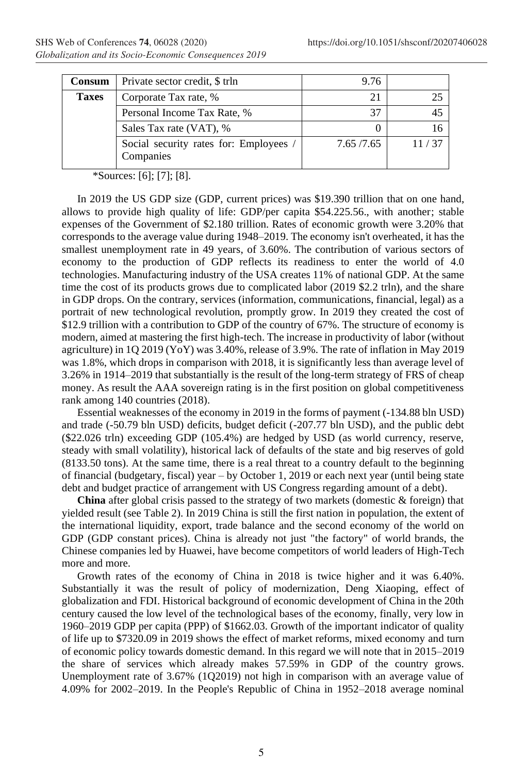| Consum       | Private sector credit, \$ trln                    | 9.76       |  |
|--------------|---------------------------------------------------|------------|--|
| <b>Taxes</b> | Corporate Tax rate, %                             |            |  |
|              | Personal Income Tax Rate, %                       | 37         |  |
|              | Sales Tax rate (VAT), %                           |            |  |
|              | Social security rates for: Employees<br>Companies | 7.65 /7.65 |  |

\*Sources: [6]; [7]; [8].

In 2019 the US GDP size (GDP, current prices) was \$19.390 trillion that on one hand, allows to provide high quality of life: GDP/per capita \$54.225.56., with another; stable expenses of the Government of \$2.180 trillion. Rates of economic growth were 3.20% that corresponds to the average value during 1948–2019. The economy isn't overheated, it has the smallest unemployment rate in 49 years, of 3.60%. The contribution of various sectors of economy to the production of GDP reflects its readiness to enter the world of 4.0 technologies. Manufacturing industry of the USA creates 11% of national GDP. At the same time the cost of its products grows due to complicated labor (2019 \$2.2 trln), and the share in GDP drops. On the contrary, services (information, communications, financial, legal) as a portrait of new technological revolution, promptly grow. In 2019 they created the cost of \$12.9 trillion with a contribution to GDP of the country of 67%. The structure of economy is modern, aimed at mastering the first high-tech. The increase in productivity of labor (without agriculture) in 1Q 2019 (YoY) was 3.40%, release of 3.9%. The rate of inflation in May 2019 was 1.8%, which drops in comparison with 2018, it is significantly less than average level of 3.26% in 1914–2019 that substantially is the result of the long-term strategy of FRS of cheap money. As result the AAA sovereign rating is in the first position on global competitiveness rank among 140 countries (2018).

Essential weaknesses of the economy in 2019 in the forms of payment (-134.88 bln USD) and trade (-50.79 bln USD) deficits, budget deficit (-207.77 bln USD), and the public debt (\$22.026 trln) exceeding GDP (105.4%) are hedged by USD (as world currency, reserve, steady with small volatility), historical lack of defaults of the state and big reserves of gold (8133.50 tons). At the same time, there is a real threat to a country default to the beginning of financial (budgetary, fiscal) year – by October 1, 2019 or each next year (until being state debt and budget practice of arrangement with US Congress regarding amount of a debt).

**China** after global crisis passed to the strategy of two markets (domestic & foreign) that yielded result (see Table 2). In 2019 China is still the first nation in population, the extent of the international liquidity, export, trade balance and the second economy of the world on GDP (GDP constant prices). China is already not just "the factory" of world brands, the Chinese companies led by Huawei, have become competitors of world leaders of High-Tech more and more.

Growth rates of the economy of China in 2018 is twice higher and it was 6.40%. Substantially it was the result of policy of modernization, Deng Xiaoping, effect of globalization and FDI. Historical background of economic development of China in the 20th century caused the low level of the technological bases of the economy, finally, very low in 1960–2019 GDP per capita (PPP) of \$1662.03. Growth of the important indicator of quality of life up to \$7320.09 in 2019 shows the effect of market reforms, mixed economy and turn of economic policy towards domestic demand. In this regard we will note that in 2015–2019 the share of services which already makes 57.59% in GDP of the country grows. Unemployment rate of 3.67% (1Q2019) not high in comparison with an average value of 4.09% for 2002–2019. In the People's Republic of China in 1952–2018 average nominal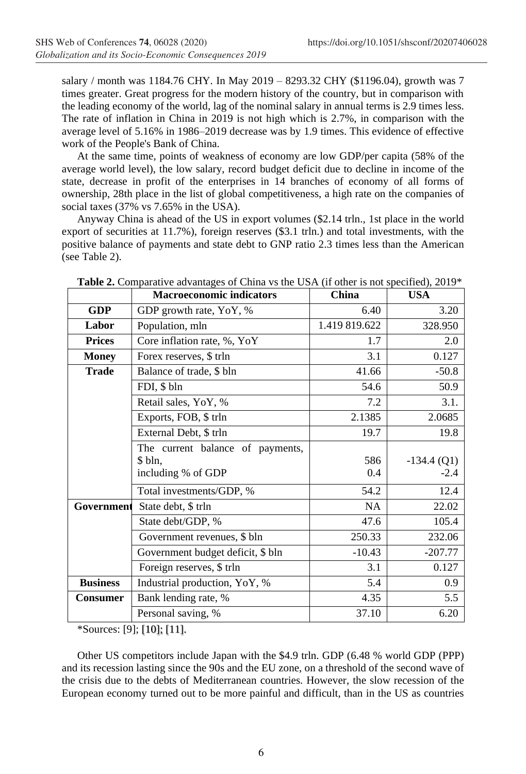salary / month was 1184.76 CHY. In May 2019 – 8293.32 CHY (\$1196.04), growth was 7 times greater. Great progress for the modern history of the country, but in comparison with the leading economy of the world, lag of the nominal salary in annual terms is 2.9 times less. The rate of inflation in China in 2019 is not high which is 2.7%, in comparison with the average level of 5.16% in 1986–2019 decrease was by 1.9 times. This evidence of effective work of the People's Bank of China.

At the same time, points of weakness of economy are low GDP/per capita (58% of the average world level), the low salary, record budget deficit due to decline in income of the state, decrease in profit of the enterprises in 14 branches of economy of all forms of ownership, 28th place in the list of global competitiveness, a high rate on the companies of social taxes (37% vs 7.65% in the USA).

Anyway China is ahead of the US in export volumes (\$2.14 trln., 1st place in the world export of securities at 11.7%), foreign reserves (\$3.1 trln.) and total investments, with the positive balance of payments and state debt to GNP ratio 2.3 times less than the American (see Table 2).

|                 | <b>Macroeconomic indicators</b>   | China         | <b>USA</b>   |
|-----------------|-----------------------------------|---------------|--------------|
| <b>GDP</b>      | GDP growth rate, YoY, %           | 6.40          | 3.20         |
| Labor           | Population, mln                   | 1.419 819.622 | 328.950      |
| <b>Prices</b>   | Core inflation rate, %, YoY       | 1.7           | 2.0          |
| <b>Money</b>    | Forex reserves, \$ trln           | 3.1           | 0.127        |
| <b>Trade</b>    | Balance of trade, \$ bln          | 41.66         | $-50.8$      |
|                 | FDI, \$ bln                       | 54.6          | 50.9         |
|                 | Retail sales, YoY, %              | 7.2           | 3.1.         |
|                 | Exports, FOB, \$ trln             | 2.1385        | 2.0685       |
|                 | External Debt, \$ trln            | 19.7          | 19.8         |
|                 | The current balance of payments,  |               |              |
|                 | \$ bln,                           | 586           | $-134.4(Q1)$ |
|                 | including % of GDP                | 0.4           | $-2.4$       |
|                 | Total investments/GDP, %          | 54.2          | 12.4         |
| Government      | State debt, \$ trln               | NA            | 22.02        |
|                 | State debt/GDP, %                 | 47.6          | 105.4        |
|                 | Government revenues, \$ bln       | 250.33        | 232.06       |
|                 | Government budget deficit, \$ bln | $-10.43$      | $-207.77$    |
|                 | Foreign reserves, \$ trln         | 3.1           | 0.127        |
| <b>Business</b> | Industrial production, YoY, %     | 5.4           | 0.9          |
| Consumer        | Bank lending rate, %              | 4.35          | 5.5          |
|                 | Personal saving, %                | 37.10         | 6.20         |

**Table 2.** Comparative advantages of China vs the USA (if other is not specified), 2019\*

\*Sources: [9]; [10]; [11].

Other US competitors include Japan with the \$4.9 trln. GDP (6.48 % world GDP (PPP) and its recession lasting since the 90s and the EU zone, on a threshold of the second wave of the crisis due to the debts of Mediterranean countries. However, the slow recession of the European economy turned out to be more painful and difficult, than in the US as countries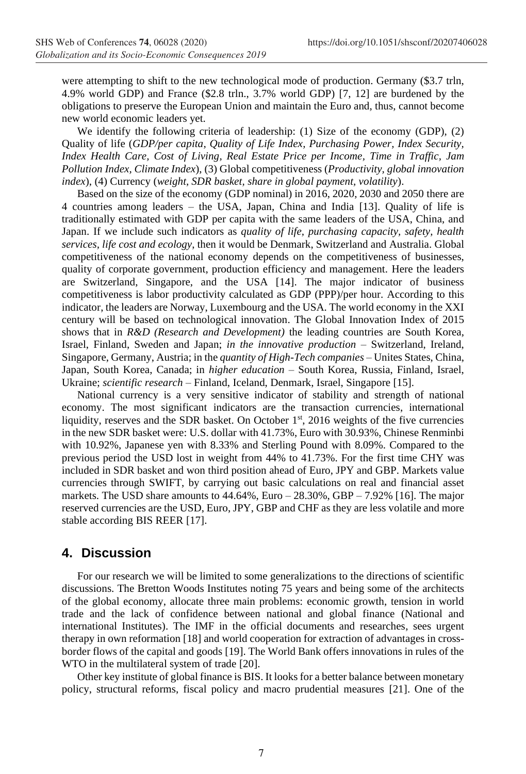were attempting to shift to the new technological mode of production. Germany (\$3.7 trln, 4.9% world GDP) and France (\$2.8 trln., 3.7% world GDP) [7, 12] are burdened by the obligations to preserve the European Union and maintain the Euro and, thus, cannot become new world economic leaders yet.

We identify the following criteria of leadership: (1) Size of the economy (GDP), (2) Quality of life (*GDP/per capita, Quality of Life Index, Purchasing Power, Index Security, Index Health Care, Cost of Living, Real Estate Price per Income, Time in Traffic, Jam Pollution Index, Climate Index*), (3) Global competitiveness (*Productivity, global innovation index*), (4) Currency (*weight, SDR basket, share in global payment, volatility*).

Based on the size of the economy (GDP nominal) in 2016, 2020, 2030 and 2050 there are 4 countries among leaders – the USA, Japan, China and India [13]. Quality of life is traditionally estimated with GDP per capita with the same leaders of the USA, China, and Japan. If we include such indicators as *quality of life, purchasing capacity, safety, health services, life cost and ecology*, then it would be Denmark, Switzerland and Australia. Global competitiveness of the national economy depends on the competitiveness of businesses, quality of corporate government, production efficiency and management. Here the leaders are Switzerland, Singapore, and the USA [14]. The major indicator of business competitiveness is labor productivity calculated as GDP (PPP)/per hour. According to this indicator, the leaders are Norway, Luxembourg and the USA. The world economy in the XXI century will be based on technological innovation. The Global Innovation Index of 2015 shows that in *R&D (Research and Development)* the leading countries are South Korea, Israel, Finland, Sweden and Japan; *in the innovative production –* Switzerland, Ireland, Singapore, Germany, Austria; in the *quantity of High-Tech companies –* Unites States, China, Japan, South Korea, Canada; in *higher education –* South Korea, Russia, Finland, Israel, Ukraine; *scientific research –* Finland, Iceland, Denmark, Israel, Singapore [15].

National currency is a very sensitive indicator of stability and strength of national economy. The most significant indicators are the transaction currencies, international liquidity, reserves and the SDR basket. On October 1<sup>st</sup>, 2016 weights of the five currencies in the new SDR basket were: U.S. dollar with 41.73%, Euro with 30.93%, Chinese Renminbi with 10.92%, Japanese yen with 8.33% and Sterling Pound with 8.09%. Compared to the previous period the USD lost in weight from 44% to 41.73%. For the first time CHY was included in SDR basket and won third position ahead of Euro, JPY and GBP. Markets value currencies through SWIFT, by carrying out basic calculations on real and financial asset markets. The USD share amounts to 44.64%, Euro – 28.30%, GBP – 7.92% [16]. The major reserved currencies are the USD, Euro, JPY, GBP and CHF as they are less volatile and more stable according BIS REER [17].

#### **4. Discussion**

For our research we will be limited to some generalizations to the directions of scientific discussions. The Bretton Woods Institutes noting 75 years and being some of the architects of the global economy, allocate three main problems: economic growth, tension in world trade and the lack of confidence between national and global finance (National and international Institutes). The IMF in the official documents and researches, sees urgent therapy in own reformation [18] and world cooperation for extraction of advantages in crossborder flows of the capital and goods [19]. The World Bank offers innovations in rules of the WTO in the multilateral system of trade [20].

Other key institute of global finance is BIS. It looks for a better balance between monetary policy, structural reforms, fiscal policy and macro prudential measures [21]. One of the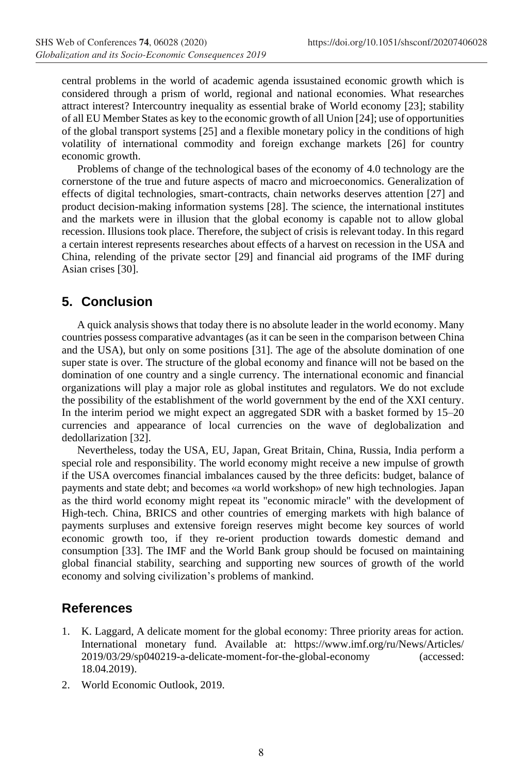central problems in the world of academic agenda issustained economic growth which is considered through a prism of world, regional and national economies. What researches attract interest? Intercountry inequality as essential brake of World economy [23]; stability of all EU Member States as key to the economic growth of all Union [24]; use of opportunities of the global transport systems [25] and a flexible monetary policy in the conditions of high volatility of international commodity and foreign exchange markets [26] for country economic growth.

Problems of change of the technological bases of the economy of 4.0 technology are the cornerstone of the true and future aspects of macro and microeconomics. Generalization of effects of digital technologies, smart-contracts, chain networks deserves attention [27] and product decision-making information systems [28]. The science, the international institutes and the markets were in illusion that the global economy is capable not to allow global recession. Illusions took place. Therefore, the subject of crisis is relevant today. In this regard a certain interest represents researches about effects of a harvest on recession in the USA and China, relending of the private sector [29] and financial aid programs of the IMF during Asian crises [30].

## **5. Conclusion**

A quick analysis shows that today there is no absolute leader in the world economy. Many countries possess comparative advantages (as it can be seen in the comparison between China and the USA), but only on some positions [31]. The age of the absolute domination of one super state is over. The structure of the global economy and finance will not be based on the domination of one country and a single currency. The international economic and financial organizations will play a major role as global institutes and regulators. We do not exclude the possibility of the establishment of the world government by the end of the XXI century. In the interim period we might expect an aggregated SDR with a basket formed by 15–20 currencies and appearance of local currencies on the wave of deglobalization and dedollarization [32].

Nevertheless, today the USA, EU, Japan, Great Britain, China, Russia, India perform a special role and responsibility. The world economy might receive a new impulse of growth if the USA overcomes financial imbalances caused by the three deficits: budget, balance of payments and state debt; and becomes «a world workshop» of new high technologies. Japan as the third world economy might repeat its "economic miracle" with the development of High-tech. China, BRICS and other countries of emerging markets with high balance of payments surpluses and extensive foreign reserves might become key sources of world economic growth too, if they re-orient production towards domestic demand and consumption [33]. The IMF and the World Bank group should be focused on maintaining global financial stability, searching and supporting new sources of growth of the world economy and solving civilization's problems of mankind.

## **References**

- 1. K. Laggard, A delicate moment for the global economy: Three priority areas for action. International monetary fund. Available at: [https://www.imf.org/ru/News/Articles/](https://www.imf.org/ru/News/Articles/2019/03/29/sp040219-a-delicate-moment-for-the-global-economy) [2019/03/29/sp040219-a-delicate-moment-for-the-global-economy](https://www.imf.org/ru/News/Articles/2019/03/29/sp040219-a-delicate-moment-for-the-global-economy) (accessed: 18.04.2019).
- 2. [World Economic Outlook,](http://www.imf.org/external/ns/cs.aspx?id=29) 2019.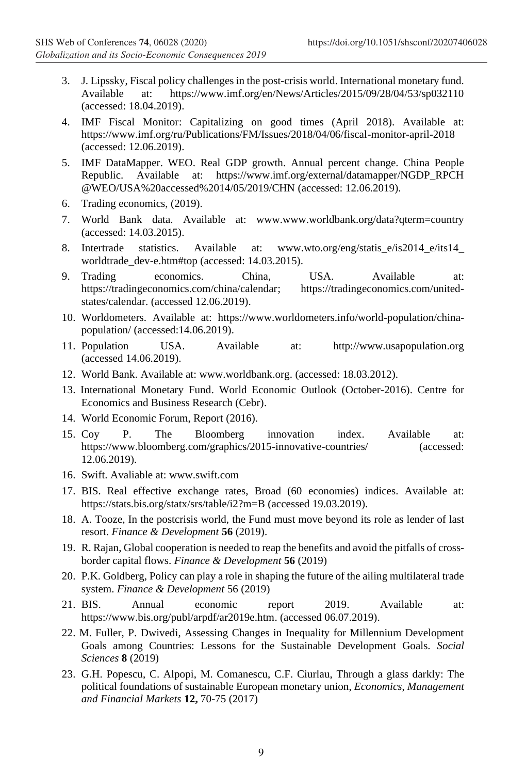- 3. J. Lipssky, Fiscal policy challenges in the post-crisis world. International monetary fund. Available at: <https://www.imf.org/en/News/Articles/2015/09/28/04/53/sp032110> (accessed: 18.04.2019).
- 4. IMF Fiscal Monitor: Capitalizing on good times (April 2018). Available at: <https://www.imf.org/ru/Publications/FM/Issues/2018/04/06/fiscal-monitor-april-2018> (accessed: 12.06.2019).
- 5. IMF DataMapper. WEO. Real GDP growth. Annual percent change. China People Republic. Available at: [https://www.imf.org/external/datamapper/NGDP\\_RPCH](https://www.imf.org/external/datamapper/NGDP_RPCH@WEO/USA%20accessed%2014/05/2019/CHN) [@WEO/USA%20accessed%2014/05/2019/CHN](https://www.imf.org/external/datamapper/NGDP_RPCH@WEO/USA%20accessed%2014/05/2019/CHN) (accessed: 12.06.2019).
- 6. Trading economics, (2019).
- 7. World Bank data. Available at: www[.www.worldbank.org/data?qterm=country](http://www.worldbank.org/data?qterm=country) (accessed: 14.03.2015).
- 8. Intertrade statistics. Available at: www.wto.org/eng/statis\_e/is2014\_e/its14 [worldtrade\\_dev-e.htm#top](http://www.wto.org/eng/statis_e/is2014_e/its14_worldtrade_dev-e.htm#top) (accessed: 14.03.2015).
- 9. Trading economics. China, USA. Available at: [https://tradingeconomics.com/china/calendar;](https://tradingeconomics.com/china/calendar) [https://tradingeconomics.com/united](https://tradingeconomics.com/united-states/calendar)[states/calendar.](https://tradingeconomics.com/united-states/calendar) (accessed 12.06.2019).
- 10. Worldometers. Available at: https://www.worldometers.info/world-population/chinapopulation/ (accessed:14.06.2019).
- 11. Population USA. Available at: [http://www.usapopulation.org](http://www.usapopulation.org/) (accessed 14.06.2019).
- 12. World Bank. Available at[: www.worldbank.org.](http://www.worldbank.org/) (accessed: 18.03.2012).
- 13. International Monetary Fund. [World Economic Outlook \(October-2016\).](http://www.imf.org/external/pubs/ft/weo/2016/02/weodata/weorept.aspx?pr.x=72&pr.y=7&sy=2016&ey=2020&sort=country&ds=.&br=1&c=512%2C672%2C914%2C946%2C612%2C137%2C614%2C546%2C311%2C962%2C213%2C674%2C911%2C676%2C193%2C548%2C122%2C556%2C912%2C678%2C313%2C181%2C419%2C867%2C513%2C682%2C316%2C684%2C913%2C273%2C124%2C868%2C339%2C921%2C638%2C948%2C514%2C943%2C218%2C686%2C963%2C688%2C616%2C518%2C223%2C728%2C516%2C558%2C918%2C138%2C748%2C196%2C618%2C278%2C624%2C692%2C522%2C694%2C622%2C142%2C156%2C449%2C626%2C564%2C628%2C565%2C228%2C283%2C924%2C853%2C233%2C288%2C632%2C293%2C636%2C566%2C634%2C964%2C238%2C182%2C662%2C359%2C960%2C453%2C423%2C968%2C935%2C922%2C128%2C714%2C611%2C862%2C321%2C135%2C243%2C716%2C248%2C456%2C469%2C722%2C253%2C942%2C642%2C718%2C643%2C724%2C939%2C576%2C644%2C936%2C819%2C961%2C172%2C813%2C132%2C199%2C646%2C733%2C648%2C184%2C915%2C524%2C134%2C361%2C652%2C362%2C174%2C364%2C328%2C732%2C258%2C366%2C656%2C734%2C654%2C144%2C336%2C146%2C263%2C463%2C268%2C528%2C532%2C923%2C944%2C738%2C176%2C578%2C534%2C537%2C536%2C742%2C429%2C866%2C433%2C369%2C178%2C744%2C436%2C186%2C136%2C925%2C343%2C869%2C158%2C746%2C439%2C926%2C916%2C466%2C664%2C112%2C826%2C111%2C542%2C298%2C967%2C927%2C443%2C846%2C917%2C299%2C544%2C582%2C941%2C474%2C446%2C754%2C666%2C698%2C668&s=NGDPD%2CPPPGDP&grp=0&a=) [Centre for](https://www.cebr.com/reports/welt-2016/)  [Economics and Business Research \(Cebr\).](https://www.cebr.com/reports/welt-2016/)
- 14. World Economic Forum, Report (2016).
- 15. Coy P. The Bloomberg innovation index. Available at: <https://www.bloomberg.com/graphics/2015-innovative-countries/> (accessed: 12.06.2019).
- 16. Swift. Avaliable at: www.swift.com
- 17. BIS. Real effective exchange rates, Broad (60 economies) indices. Available at: <https://stats.bis.org/statx/srs/table/i2?m=B> (accessed 19.03.2019).
- 18. A. [Tooze,](https://www.imf.org/external/pubs/ft/fandd/2019/06/reimagining-the-imf-tooze.htm#author) In the postcrisis world, the Fund must move beyond its role as lender of last resort. *Finance & Development* **56** (2019).
- 19. R. Rajan, Global cooperation is needed to reap the benefits and avoid the pitfalls of crossborder capital flows. *Finance & Development* **56** (2019)
- 20. P.K[. Goldberg,](https://www.imf.org/external/pubs/ft/fandd/2019/06/the-future-of-global-trade-goldberg.htm#author) Policy can play a role in shaping the future of the ailing multilateral trade system. *Finance & Development* 56 (2019)
- 21. BIS. Annual economic report 2019. Available at: [https://www.bis.org/publ/arpdf/ar2019e.htm.](https://www.bis.org/publ/arpdf/ar2019e.htm) (accessed 06.07.2019).
- 22. M. [Fuller,](https://www.mdpi.com/search?authors=Madisen%20Fuller&orcid=) P. [Dwivedi,](https://www.mdpi.com/search?authors=Puneet%20Dwivedi&orcid=) Assessing Changes in Inequality for Millennium Development Goals among Countries: Lessons for the Sustainable Development Goals. *Social Sciences* **8** (2019)
- 23. G.H. Popescu, C. Alpopi, M. Comanescu, C.F. Ciurlau, Through a glass darkly: The political foundations of sustainable European monetary union, *Economics*, *Management and Financial Markets* **12,** 70-75 (2017)